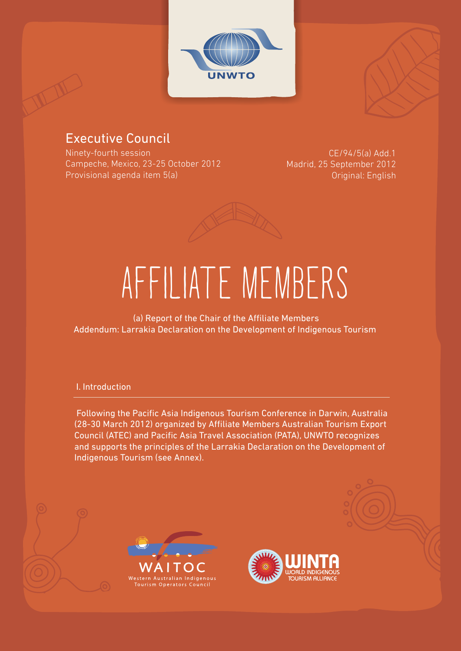



## Executive Council

Ninety-fourth session Campeche, Mexico, 23-25 October 2012 Provisional agenda item 5(a)

 CE/94/5(a) Add.1 Madrid, 25 September 2012 Original: English



# AFFILIATE MEMBERS

 (a) Report of the Chair of the Affiliate Members Addendum: Larrakia Declaration on the Development of Indigenous Tourism

#### I. Introduction

 Following the Pacific Asia Indigenous Tourism Conference in Darwin, Australia (28-30 March 2012) organized by Affiliate Members Australian Tourism Export Council (ATEC) and Pacific Asia Travel Association (PATA), UNWTO recognizes and supports the principles of the Larrakia Declaration on the Development of Indigenous Tourism (see Annex).